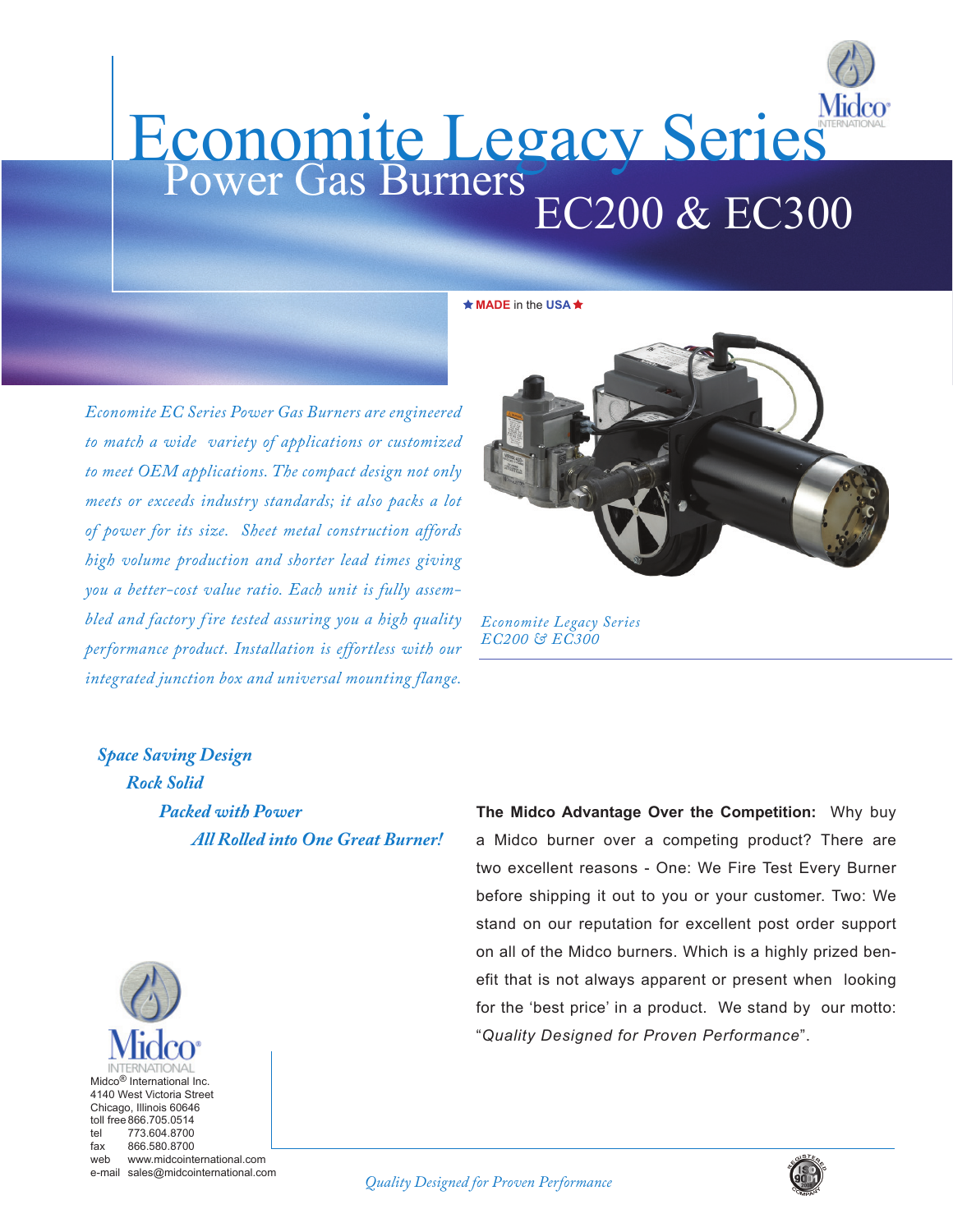

★ **MADE** in the USA ★

*Economite EC Series Power Gas Burners are engineered to match a wide variety of applications or customized to meet OEM applications. The compact design not only meets or exceeds industry standards; it also packs a lot of power for its size. Sheet metal construction affords high volume production and shorter lead times giving you a better-cost value ratio. Each unit is fully assembled and factory f ire tested assuring you a high quality performance product. Installation is effortless with our integrated junction box and universal mounting flange.*



*Economite Legacy Series EC200 & EC300*

*Space Saving Design Rock Solid Packed with Power All Rolled into One Great Burner!*

**The Midco Advantage Over the Competition:** Why buy a Midco burner over a competing product? There are two excellent reasons - One: We Fire Test Every Burner before shipping it out to you or your customer. Two: We stand on our reputation for excellent post order support on all of the Midco burners. Which is a highly prized benefit that is not always apparent or present when looking for the 'best price' in a product. We stand by our motto: "*Quality Designed for Proven Performance*".



web www.midcointernational.com e-mail sales@midcointernational.com



*Quality Designed for Proven Performance*